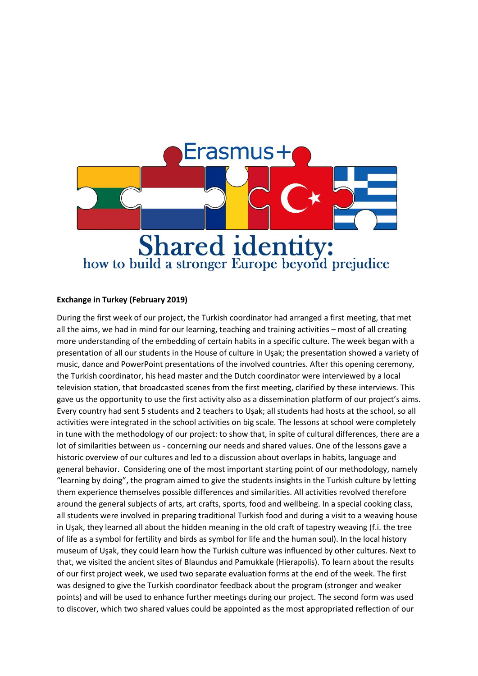

## **Exchange in Turkey (February 2019)**

During the first week of our project, the Turkish coordinator had arranged a first meeting, that met all the aims, we had in mind for our learning, teaching and training activities – most of all creating more understanding of the embedding of certain habits in a specific culture. The week began with a presentation of all our students in the House of culture in Uşak; the presentation showed a variety of music, dance and PowerPoint presentations of the involved countries. After this opening ceremony, the Turkish coordinator, his head master and the Dutch coordinator were interviewed by a local television station, that broadcasted scenes from the first meeting, clarified by these interviews. This gave us the opportunity to use the first activity also as a dissemination platform of our project's aims. Every country had sent 5 students and 2 teachers to Uşak; all students had hosts at the school, so all activities were integrated in the school activities on big scale. The lessons at school were completely in tune with the methodology of our project: to show that, in spite of cultural differences, there are a lot of similarities between us - concerning our needs and shared values. One of the lessons gave a historic overview of our cultures and led to a discussion about overlaps in habits, language and general behavior. Considering one of the most important starting point of our methodology, namely "learning by doing", the program aimed to give the students insights in the Turkish culture by letting them experience themselves possible differences and similarities. All activities revolved therefore around the general subjects of arts, art crafts, sports, food and wellbeing. In a special cooking class, all students were involved in preparing traditional Turkish food and during a visit to a weaving house in Uşak, they learned all about the hidden meaning in the old craft of tapestry weaving (f.i. the tree of life as a symbol for fertility and birds as symbol for life and the human soul). In the local history museum of Uşak, they could learn how the Turkish culture was influenced by other cultures. Next to that, we visited the ancient sites of Blaundus and Pamukkale (Hierapolis). To learn about the results of our first project week, we used two separate evaluation forms at the end of the week. The first was designed to give the Turkish coordinator feedback about the program (stronger and weaker points) and will be used to enhance further meetings during our project. The second form was used to discover, which two shared values could be appointed as the most appropriated reflection of our